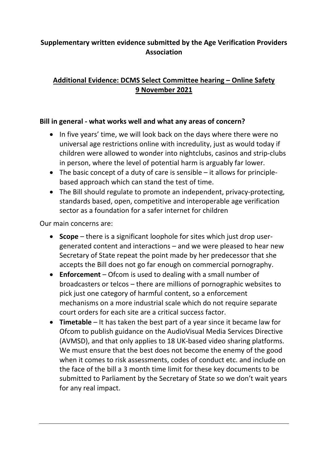# **Supplementary written evidence submitted by the Age Verification Providers Association**

# **Additional Evidence: DCMS Select Committee hearing – Online Safety 9 November 2021**

## **Bill in general - what works well and what any areas of concern?**

- In five years' time, we will look back on the days where there were no universal age restrictions online with incredulity, just as would today if children were allowed to wonder into nightclubs, casinos and strip-clubs in person, where the level of potential harm is arguably far lower.
- $\bullet$  The basic concept of a duty of care is sensible  $-$  it allows for principlebased approach which can stand the test of time.
- The Bill should regulate to promote an independent, privacy-protecting, standards based, open, competitive and interoperable age verification sector as a foundation for a safer internet for children

Our main concerns are:

- **Scope** there is a significant loophole for sites which just drop usergenerated content and interactions – and we were pleased to hear new Secretary of State repeat the point made by her predecessor that she accepts the Bill does not go far enough on commercial pornography.
- **Enforcement** Ofcom is used to dealing with a small number of broadcasters or telcos – there are millions of pornographic websites to pick just one category of harmful content, so a enforcement mechanisms on a more industrial scale which do not require separate court orders for each site are a critical success factor.
- **Timetable** It has taken the best part of a year since it became law for Ofcom to publish guidance on the AudioVisual Media Services Directive (AVMSD), and that only applies to 18 UK-based video sharing platforms. We must ensure that the best does not become the enemy of the good when it comes to risk assessments, codes of conduct etc. and include on the face of the bill a 3 month time limit for these key documents to be submitted to Parliament by the Secretary of State so we don't wait years for any real impact.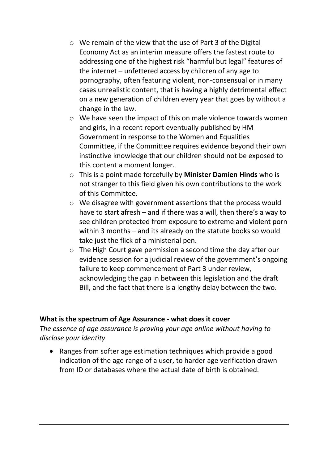- o We remain of the view that the use of Part 3 of the Digital Economy Act as an interim measure offers the fastest route to addressing one of the highest risk "harmful but legal" features of the internet – unfettered access by children of any age to pornography, often featuring violent, non-consensual or in many cases unrealistic content, that is having a highly detrimental effect on a new generation of children every year that goes by without a change in the law.
- o We have seen the impact of this on male violence towards women and girls, in a recent report eventually published by HM Government in response to the Women and Equalities Committee, if the Committee requires evidence beyond their own instinctive knowledge that our children should not be exposed to this content a moment longer.
- o This is a point made forcefully by **Minister Damien Hinds** who is not stranger to this field given his own contributions to the work of this Committee.
- o We disagree with government assertions that the process would have to start afresh – and if there was a will, then there's a way to see children protected from exposure to extreme and violent porn within 3 months – and its already on the statute books so would take just the flick of a ministerial pen.
- o The High Court gave permission a second time the day after our evidence session for a judicial review of the government's ongoing failure to keep commencement of Part 3 under review, acknowledging the gap in between this legislation and the draft Bill, and the fact that there is a lengthy delay between the two.

#### **What is the spectrum of Age Assurance - what does it cover**

## *The essence of age assurance is proving your age online without having to disclose your identity*

 Ranges from softer age estimation techniques which provide a good indication of the age range of a user, to harder age verification drawn from ID or databases where the actual date of birth is obtained.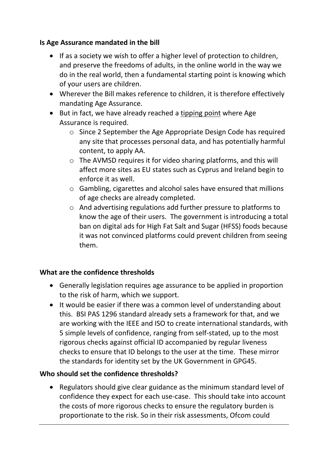## **Is Age Assurance mandated in the bill**

- If as a society we wish to offer a higher level of protection to children, and preserve the freedoms of adults, in the online world in the way we do in the real world, then a fundamental starting point is knowing which of your users are children.
- Wherever the Bill makes reference to children, it is therefore effectively mandating Age Assurance.
- But in fact, we have already reached a tipping point where Age Assurance is required.
	- o Since 2 September the Age Appropriate Design Code has required any site that processes personal data, and has potentially harmful content, to apply AA.
	- o The AVMSD requires it for video sharing platforms, and this will affect more sites as EU states such as Cyprus and Ireland begin to enforce it as well.
	- o Gambling, cigarettes and alcohol sales have ensured that millions of age checks are already completed.
	- o And advertising regulations add further pressure to platforms to know the age of their users. The government is introducing a total ban on digital ads for High Fat Salt and Sugar (HFSS) foods because it was not convinced platforms could prevent children from seeing them.

## **What are the confidence thresholds**

- Generally legislation requires age assurance to be applied in proportion to the risk of harm, which we support.
- It would be easier if there was a common level of understanding about this. BSI PAS 1296 standard already sets a framework for that, and we are working with the IEEE and ISO to create international standards, with 5 simple levels of confidence, ranging from self-stated, up to the most rigorous checks against official ID accompanied by regular liveness checks to ensure that ID belongs to the user at the time. These mirror the standards for identity set by the UK Government in GPG45.

## **Who should set the confidence thresholds?**

 Regulators should give clear guidance as the minimum standard level of confidence they expect for each use-case. This should take into account the costs of more rigorous checks to ensure the regulatory burden is proportionate to the risk. So in their risk assessments, Ofcom could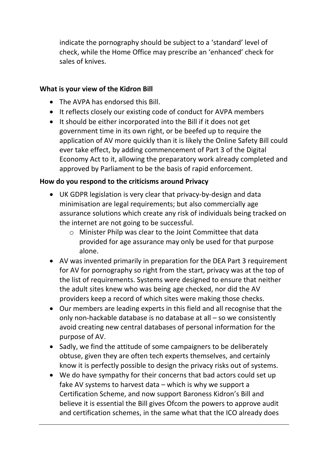indicate the pornography should be subject to a 'standard' level of check, while the Home Office may prescribe an 'enhanced' check for sales of knives.

## **What is your view of the Kidron Bill**

- The AVPA has endorsed this Bill.
- It reflects closely our existing code of conduct for AVPA members
- It should be either incorporated into the Bill if it does not get government time in its own right, or be beefed up to require the application of AV more quickly than it is likely the Online Safety Bill could ever take effect, by adding commencement of Part 3 of the Digital Economy Act to it, allowing the preparatory work already completed and approved by Parliament to be the basis of rapid enforcement.

## **How do you respond to the criticisms around Privacy**

- UK GDPR legislation is very clear that privacy-by-design and data minimisation are legal requirements; but also commercially age assurance solutions which create any risk of individuals being tracked on the internet are not going to be successful.
	- o Minister Philp was clear to the Joint Committee that data provided for age assurance may only be used for that purpose alone.
- AV was invented primarily in preparation for the DEA Part 3 requirement for AV for pornography so right from the start, privacy was at the top of the list of requirements. Systems were designed to ensure that neither the adult sites knew who was being age checked, nor did the AV providers keep a record of which sites were making those checks.
- Our members are leading experts in this field and all recognise that the only non-hackable database is no database at all – so we consistently avoid creating new central databases of personal information for the purpose of AV.
- Sadly, we find the attitude of some campaigners to be deliberately obtuse, given they are often tech experts themselves, and certainly know it is perfectly possible to design the privacy risks out of systems.
- We do have sympathy for their concerns that bad actors could set up fake AV systems to harvest data – which is why we support a Certification Scheme, and now support Baroness Kidron's Bill and believe it is essential the Bill gives Ofcom the powers to approve audit and certification schemes, in the same what that the ICO already does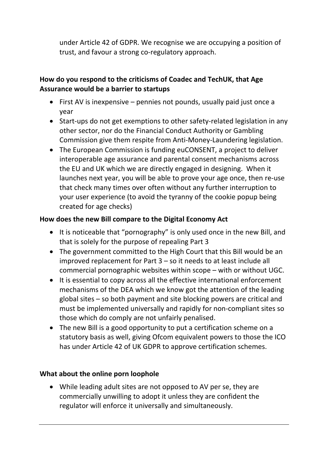under Article 42 of GDPR. We recognise we are occupying a position of trust, and favour a strong co-regulatory approach.

# **How do you respond to the criticisms of Coadec and TechUK, that Age Assurance would be a barrier to startups**

- First AV is inexpensive pennies not pounds, usually paid just once a year
- Start-ups do not get exemptions to other safety-related legislation in any other sector, nor do the Financial Conduct Authority or Gambling Commission give them respite from Anti-Money-Laundering legislation.
- The European Commission is funding euCONSENT, a project to deliver interoperable age assurance and parental consent mechanisms across the EU and UK which we are directly engaged in designing. When it launches next year, you will be able to prove your age once, then re-use that check many times over often without any further interruption to your user experience (to avoid the tyranny of the cookie popup being created for age checks)

## **How does the new Bill compare to the Digital Economy Act**

- It is noticeable that "pornography" is only used once in the new Bill, and that is solely for the purpose of repealing Part 3
- The government committed to the High Court that this Bill would be an improved replacement for Part 3 – so it needs to at least include all commercial pornographic websites within scope – with or without UGC.
- It is essential to copy across all the effective international enforcement mechanisms of the DEA which we know got the attention of the leading global sites – so both payment and site blocking powers are critical and must be implemented universally and rapidly for non-compliant sites so those which do comply are not unfairly penalised.
- The new Bill is a good opportunity to put a certification scheme on a statutory basis as well, giving Ofcom equivalent powers to those the ICO has under Article 42 of UK GDPR to approve certification schemes.

## **What about the online porn loophole**

 While leading adult sites are not opposed to AV per se, they are commercially unwilling to adopt it unless they are confident the regulator will enforce it universally and simultaneously.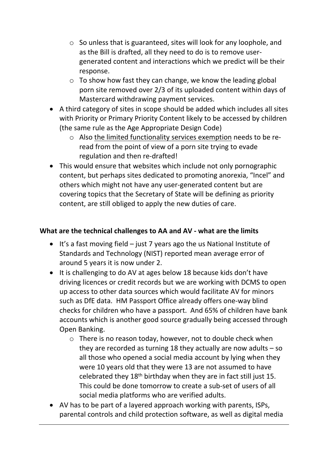- o So unless that is guaranteed, sites will look for any loophole, and as the Bill is drafted, all they need to do is to remove usergenerated content and interactions which we predict will be their response.
- $\circ$  To show how fast they can change, we know the leading global porn site removed over 2/3 of its uploaded content within days of Mastercard withdrawing payment services.
- A third category of sites in scope should be added which includes all sites with Priority or Primary Priority Content likely to be accessed by children (the same rule as the Age Appropriate Design Code)
	- o Also the limited functionality services exemption needs to be reread from the point of view of a porn site trying to evade regulation and then re-drafted!
- This would ensure that websites which include not only pornographic content, but perhaps sites dedicated to promoting anorexia, "Incel" and others which might not have any user-generated content but are covering topics that the Secretary of State will be defining as priority content, are still obliged to apply the new duties of care.

## **What are the technical challenges to AA and AV - what are the limits**

- $\bullet$  It's a fast moving field just 7 years ago the us National Institute of Standards and Technology (NIST) reported mean average error of around 5 years it is now under 2.
- It is challenging to do AV at ages below 18 because kids don't have driving licences or credit records but we are working with DCMS to open up access to other data sources which would facilitate AV for minors such as DfE data. HM Passport Office already offers one-way blind checks for children who have a passport. And 65% of children have bank accounts which is another good source gradually being accessed through Open Banking.
	- o There is no reason today, however, not to double check when they are recorded as turning 18 they actually are now adults – so all those who opened a social media account by lying when they were 10 years old that they were 13 are not assumed to have celebrated they  $18<sup>th</sup>$  birthday when they are in fact still just 15. This could be done tomorrow to create a sub-set of users of all social media platforms who are verified adults.
- AV has to be part of a layered approach working with parents, ISPs, parental controls and child protection software, as well as digital media